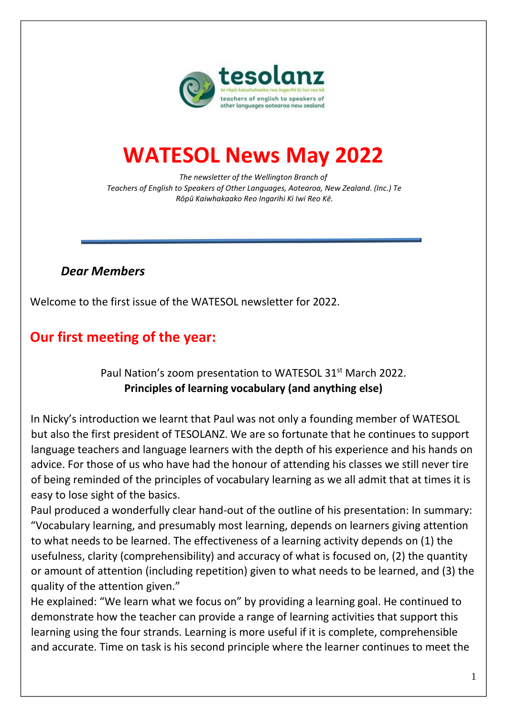

# **WATESOL News May 2022**

*The newsletter of the Wellington Branch of Teachers of English to Speakers of Other Languages, Aotearoa, New Zealand. (Inc.) Te Rōpū Kaiwhakaako Reo Ingarihi Ki Iwi Reo Kē.* 

### *Dear Members*

Welcome to the first issue of the WATESOL newsletter for 2022.

## **Our first meeting of the year:**

### Paul Nation's zoom presentation to WATESOL 31<sup>st</sup> March 2022. **Principles of learning vocabulary (and anything else)**

In Nicky's introduction we learnt that Paul was not only a founding member of WATESOL but also the first president of TESOLANZ. We are so fortunate that he continues to support language teachers and language learners with the depth of his experience and his hands on advice. For those of us who have had the honour of attending his classes we still never tire of being reminded of the principles of vocabulary learning as we all admit that at times it is easy to lose sight of the basics.

Paul produced a wonderfully clear hand-out of the outline of his presentation: In summary: "Vocabulary learning, and presumably most learning, depends on learners giving attention to what needs to be learned. The effectiveness of a learning activity depends on (1) the usefulness, clarity (comprehensibility) and accuracy of what is focused on, (2) the quantity or amount of attention (including repetition) given to what needs to be learned, and (3) the quality of the attention given."

He explained: "We learn what we focus on" by providing a learning goal. He continued to demonstrate how the teacher can provide a range of learning activities that support this learning using the four strands. Learning is more useful if it is complete, comprehensible and accurate. Time on task is his second principle where the learner continues to meet the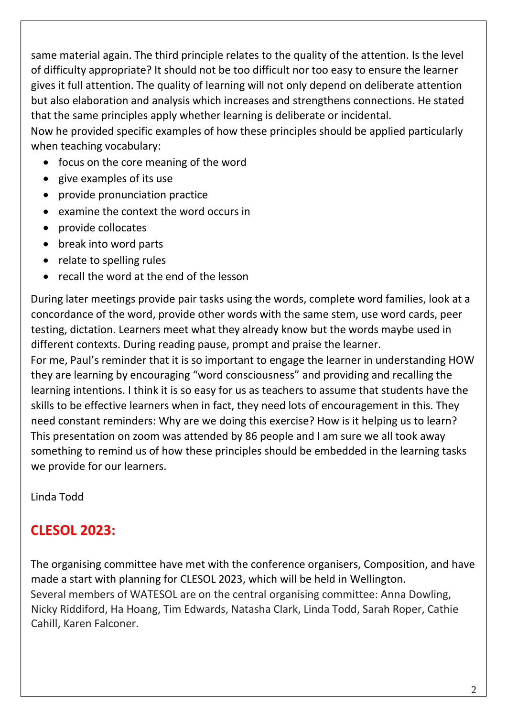same material again. The third principle relates to the quality of the attention. Is the level of difficulty appropriate? It should not be too difficult nor too easy to ensure the learner gives it full attention. The quality of learning will not only depend on deliberate attention but also elaboration and analysis which increases and strengthens connections. He stated that the same principles apply whether learning is deliberate or incidental.

Now he provided specific examples of how these principles should be applied particularly when teaching vocabulary:

- focus on the core meaning of the word
- give examples of its use
- provide pronunciation practice
- examine the context the word occurs in
- provide collocates
- break into word parts
- relate to spelling rules
- recall the word at the end of the lesson

During later meetings provide pair tasks using the words, complete word families, look at a concordance of the word, provide other words with the same stem, use word cards, peer testing, dictation. Learners meet what they already know but the words maybe used in different contexts. During reading pause, prompt and praise the learner.

For me, Paul's reminder that it is so important to engage the learner in understanding HOW they are learning by encouraging "word consciousness" and providing and recalling the learning intentions. I think it is so easy for us as teachers to assume that students have the skills to be effective learners when in fact, they need lots of encouragement in this. They need constant reminders: Why are we doing this exercise? How is it helping us to learn? This presentation on zoom was attended by 86 people and I am sure we all took away something to remind us of how these principles should be embedded in the learning tasks we provide for our learners.

Linda Todd

# **CLESOL 2023:**

The organising committee have met with the conference organisers, Composition, and have made a start with planning for CLESOL 2023, which will be held in Wellington. Several members of WATESOL are on the central organising committee: Anna Dowling, Nicky Riddiford, Ha Hoang, Tim Edwards, Natasha Clark, Linda Todd, Sarah Roper, Cathie Cahill, Karen Falconer.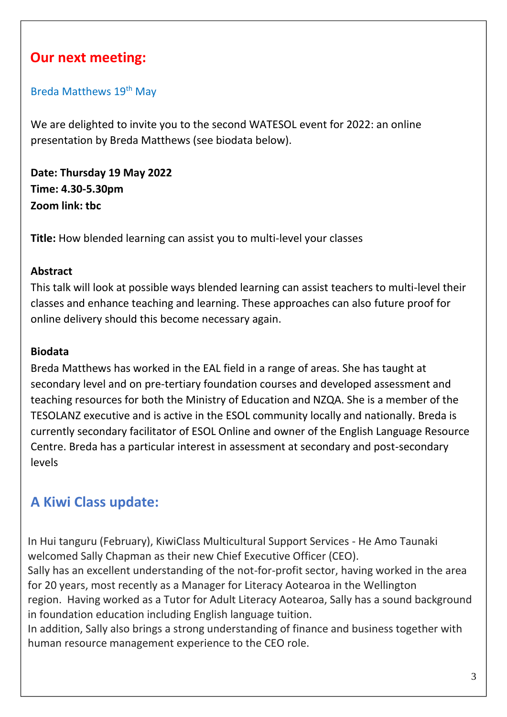## **Our next meeting:**

#### Breda Matthews 19<sup>th</sup> May

We are delighted to invite you to the second WATESOL event for 2022: an online presentation by Breda Matthews (see biodata below).

**Date: Thursday 19 May 2022 Time: 4.30-5.30pm Zoom link: tbc**

**Title:** How blended learning can assist you to multi-level your classes

#### **Abstract**

This talk will look at possible ways blended learning can assist teachers to multi-level their classes and enhance teaching and learning. These approaches can also future proof for online delivery should this become necessary again.

#### **Biodata**

Breda Matthews has worked in the EAL field in a range of areas. She has taught at secondary level and on pre-tertiary foundation courses and developed assessment and teaching resources for both the Ministry of Education and NZQA. She is a member of the TESOLANZ executive and is active in the ESOL community locally and nationally. Breda is currently secondary facilitator of ESOL Online and owner of the English Language Resource Centre. Breda has a particular interest in assessment at secondary and post-secondary levels

# **A Kiwi Class update:**

In Hui tanguru (February), KiwiClass Multicultural Support Services - He Amo Taunaki welcomed Sally Chapman as their new Chief Executive Officer (CEO). Sally has an excellent understanding of the not-for-profit sector, having worked in the area for 20 years, most recently as a Manager for Literacy Aotearoa in the Wellington region. Having worked as a Tutor for Adult Literacy Aotearoa, Sally has a sound background in foundation education including English language tuition.

In addition, Sally also brings a strong understanding of finance and business together with human resource management experience to the CEO role.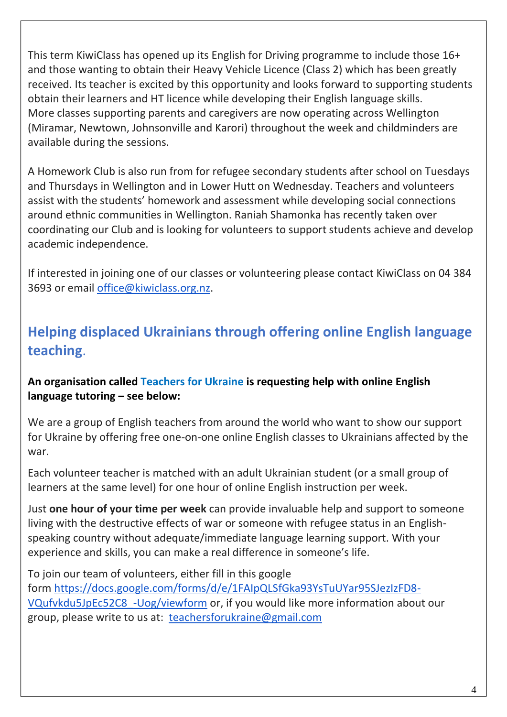This term KiwiClass has opened up its English for Driving programme to include those 16+ and those wanting to obtain their Heavy Vehicle Licence (Class 2) which has been greatly received. Its teacher is excited by this opportunity and looks forward to supporting students obtain their learners and HT licence while developing their English language skills. More classes supporting parents and caregivers are now operating across Wellington (Miramar, Newtown, Johnsonville and Karori) throughout the week and childminders are available during the sessions.

A Homework Club is also run from for refugee secondary students after school on Tuesdays and Thursdays in Wellington and in Lower Hutt on Wednesday. Teachers and volunteers assist with the students' homework and assessment while developing social connections around ethnic communities in Wellington. Raniah Shamonka has recently taken over coordinating our Club and is looking for volunteers to support students achieve and develop academic independence.

If interested in joining one of our classes or volunteering please contact KiwiClass on 04 384 3693 or email [office@kiwiclass.org.nz.](mailto:office@kiwiclass.org.nz)

# **Helping displaced Ukrainians through offering online English language teaching**.

#### **An organisation called Teachers for Ukraine is requesting help with online English language tutoring – see below:**

We are a group of English teachers from around the world who want to show our support for Ukraine by offering free one-on-one online English classes to Ukrainians affected by the war.

Each volunteer teacher is matched with an adult Ukrainian student (or a small group of learners at the same level) for one hour of online English instruction per week.

Just **one hour of your time per week** can provide invaluable help and support to someone living with the destructive effects of war or someone with refugee status in an Englishspeaking country without adequate/immediate language learning support. With your experience and skills, you can make a real difference in someone's life.

To join our team of volunteers, either fill in this google form [https://docs.google.com/forms/d/e/1FAIpQLSfGka93YsTuUYar95SJezIzFD8-](https://apc01.safelinks.protection.outlook.com/?url=https%3A%2F%2Fdocs.google.com%2Fforms%2Fd%2Fe%2F1FAIpQLSfGka93YsTuUYar95SJezIzFD8-VQufvkdu5JpEc52C8_-Uog%2Fviewform&data=05%7C01%7Cnicky.riddiford%40vuw.ac.nz%7C57d10ec990394127581008da27cc6ba7%7Ccfe63e236951427e8683bb84dcf1d20c%7C0%7C0%7C637866056204893067%7CUnknown%7CTWFpbGZsb3d8eyJWIjoiMC4wLjAwMDAiLCJQIjoiV2luMzIiLCJBTiI6Ik1haWwiLCJXVCI6Mn0%3D%7C3000%7C%7C%7C&sdata=72ry%2FdLHvtb56yU9LZDDqMdasKdTi7Q6HkoEtLHfdA0%3D&reserved=0) [VQufvkdu5JpEc52C8\\_-Uog/viewform](https://apc01.safelinks.protection.outlook.com/?url=https%3A%2F%2Fdocs.google.com%2Fforms%2Fd%2Fe%2F1FAIpQLSfGka93YsTuUYar95SJezIzFD8-VQufvkdu5JpEc52C8_-Uog%2Fviewform&data=05%7C01%7Cnicky.riddiford%40vuw.ac.nz%7C57d10ec990394127581008da27cc6ba7%7Ccfe63e236951427e8683bb84dcf1d20c%7C0%7C0%7C637866056204893067%7CUnknown%7CTWFpbGZsb3d8eyJWIjoiMC4wLjAwMDAiLCJQIjoiV2luMzIiLCJBTiI6Ik1haWwiLCJXVCI6Mn0%3D%7C3000%7C%7C%7C&sdata=72ry%2FdLHvtb56yU9LZDDqMdasKdTi7Q6HkoEtLHfdA0%3D&reserved=0) or, if you would like more information about our group, please write to us at: [teachersforukraine@gmail.com](mailto:teachersforukraine@gmail.com)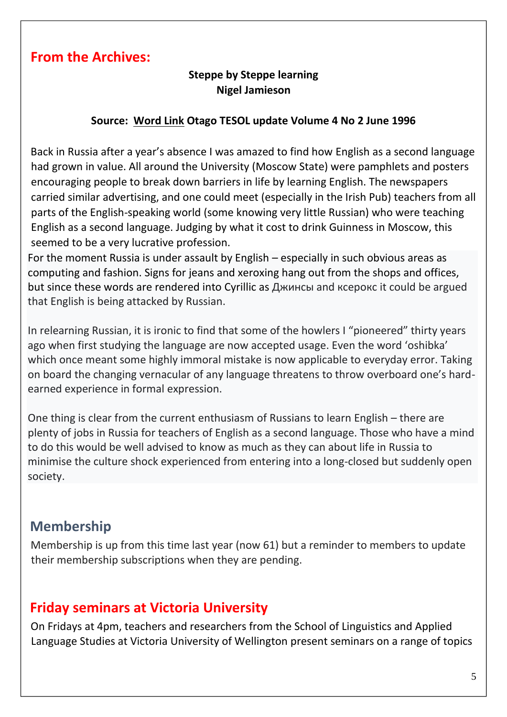### **From the Archives:**

### **Steppe by Steppe learning Nigel Jamieson**

#### **Source: Word Link Otago TESOL update Volume 4 No 2 June 1996**

Back in Russia after a year's absence I was amazed to find how English as a second language had grown in value. All around the University (Moscow State) were pamphlets and posters encouraging people to break down barriers in life by learning English. The newspapers carried similar advertising, and one could meet (especially in the Irish Pub) teachers from all parts of the English-speaking world (some knowing very little Russian) who were teaching English as a second language. Judging by what it cost to drink Guinness in Moscow, this seemed to be a very lucrative profession.

For the moment Russia is under assault by English – especially in such obvious areas as computing and fashion. Signs for jeans and xeroxing hang out from the shops and offices, but since these words are rendered into Cyrillic as Джинсы and ксерокс it could be argued that English is being attacked by Russian.

In relearning Russian, it is ironic to find that some of the howlers I "pioneered" thirty years ago when first studying the language are now accepted usage. Even the word 'oshibka' which once meant some highly immoral mistake is now applicable to everyday error. Taking on board the changing vernacular of any language threatens to throw overboard one's hardearned experience in formal expression.

One thing is clear from the current enthusiasm of Russians to learn English – there are plenty of jobs in Russia for teachers of English as a second language. Those who have a mind to do this would be well advised to know as much as they can about life in Russia to minimise the culture shock experienced from entering into a long-closed but suddenly open society.

### **Membership**

Membership is up from this time last year (now 61) but a reminder to members to update their membership subscriptions when they are pending.

### **Friday seminars at Victoria University**

On Fridays at 4pm, teachers and researchers from the School of Linguistics and Applied Language Studies at Victoria University of Wellington present seminars on a range of topics